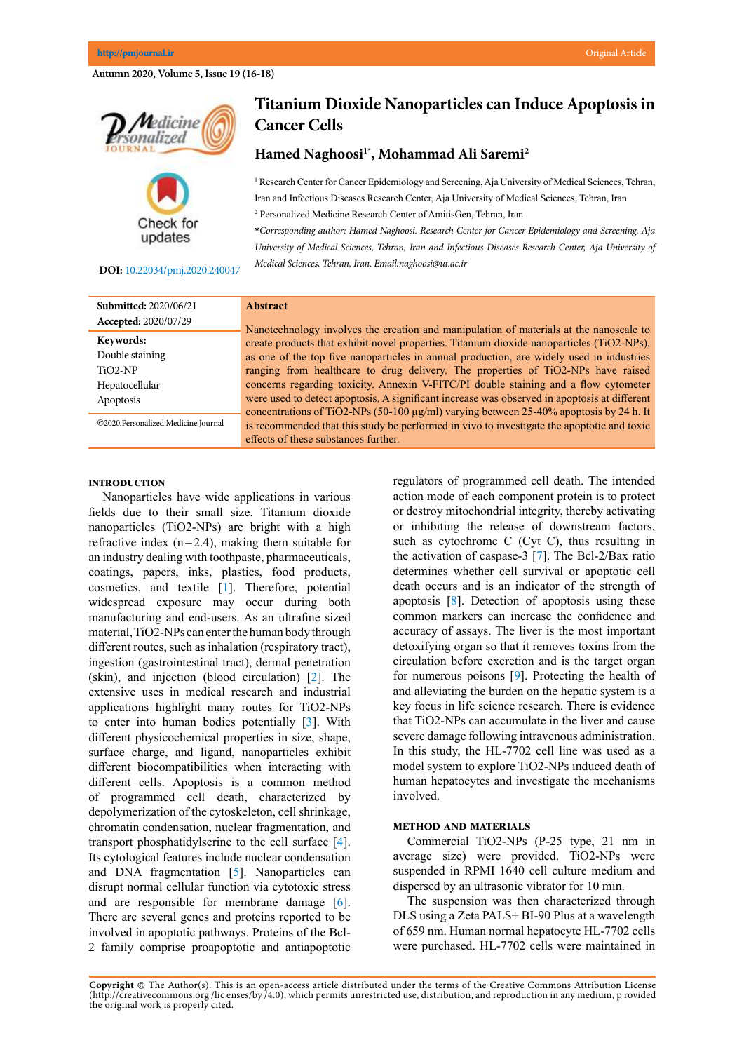## **Autumn 2020, Volume 5, Issue 19 (16-18)**



**DOI:**[10.22034/pmj.2020.240047](http://10.22034/pmj.2020.240047)

updates

# **Titanium Dioxide Nanoparticles can Induce Apoptosis in Cancer Cells**

## **Hamed Naghoosi1\*, Mohammad Ali Saremi2**

<sup>1</sup> Research Center for Cancer Epidemiology and Screening, Aja University of Medical Sciences, Tehran, Iran and Infectious Diseases Research Center, Aja University of Medical Sciences, Tehran, Iran

2 Personalized Medicine Research Center of AmitisGen, Tehran, Iran

**\****Corresponding author: Hamed Naghoosi. Research Center for Cancer Epidemiology and Screening, Aja University of Medical Sciences, Tehran, Iran and Infectious Diseases Research Center, Aja University of Medical Sciences, Tehran, Iran. Email:naghoosi@ut.ac.ir*

| <b>Submitted: 2020/06/21</b>        |
|-------------------------------------|
| Accepted: 2020/07/29                |
| Keywords:                           |
| Double staining                     |
| $TiO2-NP$                           |
| Hepatocellular                      |
| Apoptosis                           |
| ©2020.Personalized Medicine Journal |

# **Abstract**

Nanotechnology involves the creation and manipulation of materials at the nanoscale to create products that exhibit novel properties. Titanium dioxide nanoparticles (TiO2-NPs), as one of the top five nanoparticles in annual production, are widely used in industries ranging from healthcare to drug delivery. The properties of TiO2-NPs have raised concerns regarding toxicity. Annexin V-FITC/PI double staining and a flow cytometer were used to detect apoptosis. A significant increase was observed in apoptosis at different concentrations of TiO2-NPs (50-100 µg/ml) varying between 25-40% apoptosis by 24 h. It is recommended that this study be performed in vivo to investigate the apoptotic and toxic effects of these substances further.

#### **Introduction**

Nanoparticles have wide applications in various fields due to their small size. Titanium dioxide nanoparticles (TiO2-NPs) are bright with a high refractive index  $(n=2.4)$ , making them suitable for an industry dealing with toothpaste, pharmaceuticals, coatings, papers, inks, plastics, food products, cosmetics, and textile [\[1](#page-1-0)]. Therefore, potential widespread exposure may occur during both manufacturing and end-users. As an ultrafine sized material, TiO2-NPs can enter the human body through different routes, such as inhalation (respiratory tract), ingestion (gastrointestinal tract), dermal penetration (skin), and injection (blood circulation) [[2\]](#page-1-0). The extensive uses in medical research and industrial applications highlight many routes for TiO2-NPs to enter into human bodies potentially [\[3](#page-1-0)]. With different physicochemical properties in size, shape, surface charge, and ligand, nanoparticles exhibit different biocompatibilities when interacting with different cells. Apoptosis is a common method of programmed cell death, characterized by depolymerization of the cytoskeleton, cell shrinkage, chromatin condensation, nuclear fragmentation, and transport phosphatidylserine to the cell surface [[4](#page-1-0)]. Its cytological features include nuclear condensation and DNA fragmentation [[5\]](#page-1-0). Nanoparticles can disrupt normal cellular function via cytotoxic stress and are responsible for membrane damage [[6\]](#page-1-0). There are several genes and proteins reported to be involved in apoptotic pathways. Proteins of the Bcl-2 family comprise proapoptotic and antiapoptotic regulators of programmed cell death. The intended action mode of each component protein is to protect or destroy mitochondrial integrity, thereby activating or inhibiting the release of downstream factors, such as cytochrome C (Cyt C), thus resulting in the activation of caspase-3 [\[7](#page-1-0)]. The Bcl-2/Bax ratio determines whether cell survival or apoptotic cell death occurs and is an indicator of the strength of apoptosis [[8\]](#page-1-0). Detection of apoptosis using these common markers can increase the confidence and accuracy of assays. The liver is the most important detoxifying organ so that it removes toxins from the circulation before excretion and is the target organ for numerous poisons [[9\]](#page-1-0). Protecting the health of and alleviating the burden on the hepatic system is a key focus in life science research. There is evidence that TiO2-NPs can accumulate in the liver and cause severe damage following intravenous administration. In this study, the HL-7702 cell line was used as a model system to explore TiO2-NPs induced death of human hepatocytes and investigate the mechanisms involved.

### **Method and materials**

Commercial TiO2-NPs (P-25 type, 21 nm in average size) were provided. TiO2-NPs were suspended in RPMI 1640 cell culture medium and dispersed by an ultrasonic vibrator for 10 min.

The suspension was then characterized through DLS using a Zeta PALS+ BI-90 Plus at a wavelength of 659 nm. Human normal hepatocyte HL-7702 cells were purchased. HL-7702 cells were maintained in

**Copyright ©** The Author(s). This is an open-access article distributed under the terms of the Creative Commons Attribution License (http://creativecommons.org /lic enses/by /4.0), which permits unrestricted use, distribution, and reproduction in any medium, p rovided the original work is properly cited.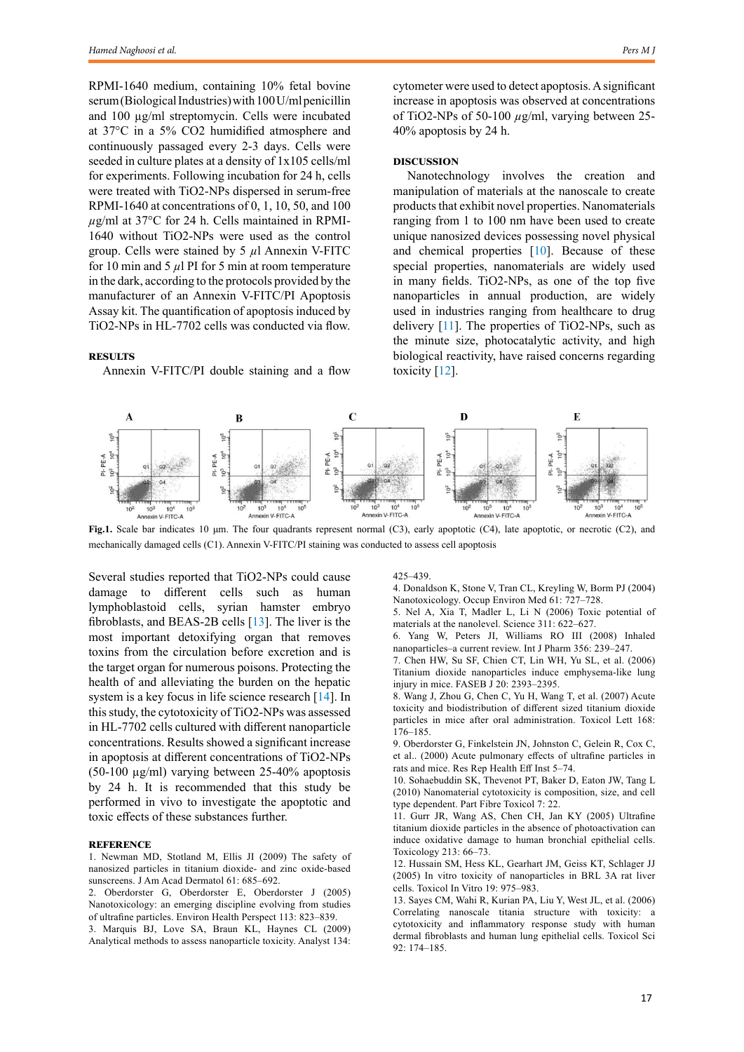<span id="page-1-0"></span>RPMI-1640 medium, containing 10% fetal bovine serum (Biological Industries) with 100 U/ml penicillin and 100 µg/ml streptomycin. Cells were incubated at 37°C in a 5% CO2 humidified atmosphere and continuously passaged every 2-3 days. Cells were seeded in culture plates at a density of 1x105 cells/ml for experiments. Following incubation for 24 h, cells were treated with TiO2-NPs dispersed in serum-free RPMI-1640 at concentrations of 0, 1, 10, 50, and 100 *µ*g/ml at 37°C for 24 h. Cells maintained in RPMI-1640 without TiO2-NPs were used as the control group. Cells were stained by 5 *µ*l Annexin V-FITC for 10 min and 5  $\mu$ l PI for 5 min at room temperature in the dark, according to the protocols provided by the manufacturer of an Annexin V-FITC/PI Apoptosis Assay kit. The quantification of apoptosis induced by TiO2-NPs in HL‑7702 cells was conducted via flow.

#### **Results**

Annexin V-FITC/PI double staining and a flow

cytometer were used to detect apoptosis. A significant increase in apoptosis was observed at concentrations of TiO2-NPs of 50-100 *µ*g/ml, varying between 25- 40% apoptosis by 24 h.

### **Discussion**

Nanotechnology involves the creation and manipulation of materials at the nanoscale to create products that exhibit novel properties. Nanomaterials ranging from 1 to 100 nm have been used to create unique nanosized devices possessing novel physical and chemical properties  $[10]$ . Because of these special properties, nanomaterials are widely used in many fields. TiO2-NPs, as one of the top five nanoparticles in annual production, are widely used in industries ranging from healthcare to drug delivery [11]. The properties of TiO2-NPs, such as the minute size, photocatalytic activity, and high biological reactivity, have raised concerns regarding toxicity [12].



**Fig.1.** Scale bar indicates 10 µm. The four quadrants represent normal (C3), early apoptotic (C4), late apoptotic, or necrotic (C2), and mechanically damaged cells (C1). Annexin V-FITC/PI staining was conducted to assess cell apoptosis

Several studies reported that TiO2-NPs could cause damage to different cells such as human lymphoblastoid cells, syrian hamster embryo fibroblasts, and BEAS-2B cells [13]. The liver is the most important detoxifying organ that removes toxins from the circulation before excretion and is the target organ for numerous poisons. Protecting the health of and alleviating the burden on the hepatic system is a key focus in life science research [\[14](#page-2-0)]. In this study, the cytotoxicity of TiO2-NPs was assessed in HL‑7702 cells cultured with different nanoparticle concentrations. Results showed a significant increase in apoptosis at different concentrations of TiO2-NPs (50-100 µg/ml) varying between 25-40% apoptosis by 24 h. It is recommended that this study be performed in vivo to investigate the apoptotic and toxic effects of these substances further.

#### **Reference**

1. Newman MD, Stotland M, Ellis JI (2009) The safety of nanosized particles in titanium dioxide- and zinc oxide-based sunscreens. J Am Acad Dermatol 61: 685–692.

2. Oberdorster G, Oberdorster E, Oberdorster J (2005) Nanotoxicology: an emerging discipline evolving from studies of ultrafine particles. Environ Health Perspect 113: 823–839.

3. Marquis BJ, Love SA, Braun KL, Haynes CL (2009) Analytical methods to assess nanoparticle toxicity. Analyst 134: 425–439.

4. Donaldson K, Stone V, Tran CL, Kreyling W, Borm PJ (2004) Nanotoxicology. Occup Environ Med 61: 727–728.

5. Nel A, Xia T, Madler L, Li N (2006) Toxic potential of materials at the nanolevel. Science 311: 622–627.

6. Yang W, Peters JI, Williams RO III (2008) Inhaled nanoparticles–a current review. Int J Pharm 356: 239–247.

7. Chen HW, Su SF, Chien CT, Lin WH, Yu SL, et al. (2006) Titanium dioxide nanoparticles induce emphysema-like lung injury in mice. FASEB J 20: 2393–2395.

8. Wang J, Zhou G, Chen C, Yu H, Wang T, et al. (2007) Acute toxicity and biodistribution of different sized titanium dioxide particles in mice after oral administration. Toxicol Lett 168: 176–185.

9. Oberdorster G, Finkelstein JN, Johnston C, Gelein R, Cox C, et al.. (2000) Acute pulmonary effects of ultrafine particles in rats and mice. Res Rep Health Eff Inst 5–74.

10. Sohaebuddin SK, Thevenot PT, Baker D, Eaton JW, Tang L (2010) Nanomaterial cytotoxicity is composition, size, and cell type dependent. Part Fibre Toxicol 7: 22.

11. Gurr JR, Wang AS, Chen CH, Jan KY (2005) Ultrafine titanium dioxide particles in the absence of photoactivation can induce oxidative damage to human bronchial epithelial cells. Toxicology 213: 66–73.

12. Hussain SM, Hess KL, Gearhart JM, Geiss KT, Schlager JJ (2005) In vitro toxicity of nanoparticles in BRL 3A rat liver cells. Toxicol In Vitro 19: 975–983.

13. Sayes CM, Wahi R, Kurian PA, Liu Y, West JL, et al. (2006) Correlating nanoscale titania structure with toxicity: a cytotoxicity and inflammatory response study with human dermal fibroblasts and human lung epithelial cells. Toxicol Sci 92: 174–185.